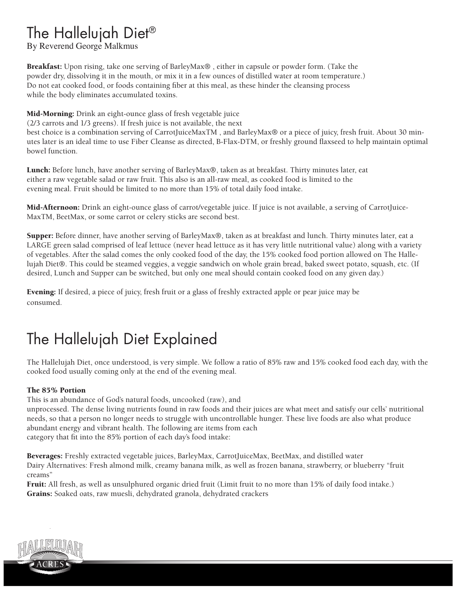## The Hallelujah Diet®

By Reverend George Malkmus

Breakfast: Upon rising, take one serving of BarleyMax® , either in capsule or powder form. (Take the powder dry, dissolving it in the mouth, or mix it in a few ounces of distilled water at room temperature.) Do not eat cooked food, or foods containing fiber at this meal, as these hinder the cleansing process while the body eliminates accumulated toxins.

Mid-Morning: Drink an eight-ounce glass of fresh vegetable juice

(2/3 carrots and 1/3 greens). If fresh juice is not available, the next

best choice is a combination serving of CarrotJuiceMaxTM , and BarleyMax® or a piece of juicy, fresh fruit. About 30 minutes later is an ideal time to use Fiber Cleanse as directed, B-Flax-DTM, or freshly ground flaxseed to help maintain optimal bowel function.

Lunch: Before lunch, have another serving of BarleyMax®, taken as at breakfast. Thirty minutes later, eat either a raw vegetable salad or raw fruit. This also is an all-raw meal, as cooked food is limited to the evening meal. Fruit should be limited to no more than 15% of total daily food intake.

Mid-Afternoon: Drink an eight-ounce glass of carrot/vegetable juice. If juice is not available, a serving of CarrotJuice-MaxTM, BeetMax, or some carrot or celery sticks are second best.

Supper: Before dinner, have another serving of BarleyMax®, taken as at breakfast and lunch. Thirty minutes later, eat a LARGE green salad comprised of leaf lettuce (never head lettuce as it has very little nutritional value) along with a variety of vegetables. After the salad comes the only cooked food of the day, the 15% cooked food portion allowed on The Hallelujah Diet®. This could be steamed veggies, a veggie sandwich on whole grain bread, baked sweet potato, squash, etc. (If desired, Lunch and Supper can be switched, but only one meal should contain cooked food on any given day.)

Evening: If desired, a piece of juicy, fresh fruit or a glass of freshly extracted apple or pear juice may be consumed.

# The Hallelujah Diet Explained

The Hallelujah Diet, once understood, is very simple. We follow a ratio of 85% raw and 15% cooked food each day, with the cooked food usually coming only at the end of the evening meal.

#### The 85% Portion

This is an abundance of God's natural foods, uncooked (raw), and

unprocessed. The dense living nutrients found in raw foods and their juices are what meet and satisfy our cells' nutritional needs, so that a person no longer needs to struggle with uncontrollable hunger. These live foods are also what produce abundant energy and vibrant health. The following are items from each category that fit into the 85% portion of each day's food intake:

Beverages: Freshly extracted vegetable juices, BarleyMax, CarrotJuiceMax, BeetMax, and distilled water Dairy Alternatives: Fresh almond milk, creamy banana milk, as well as frozen banana, strawberry, or blueberry "fruit creams"

Fruit: All fresh, as well as unsulphured organic dried fruit (Limit fruit to no more than 15% of daily food intake.) Grains: Soaked oats, raw muesli, dehydrated granola, dehydrated crackers